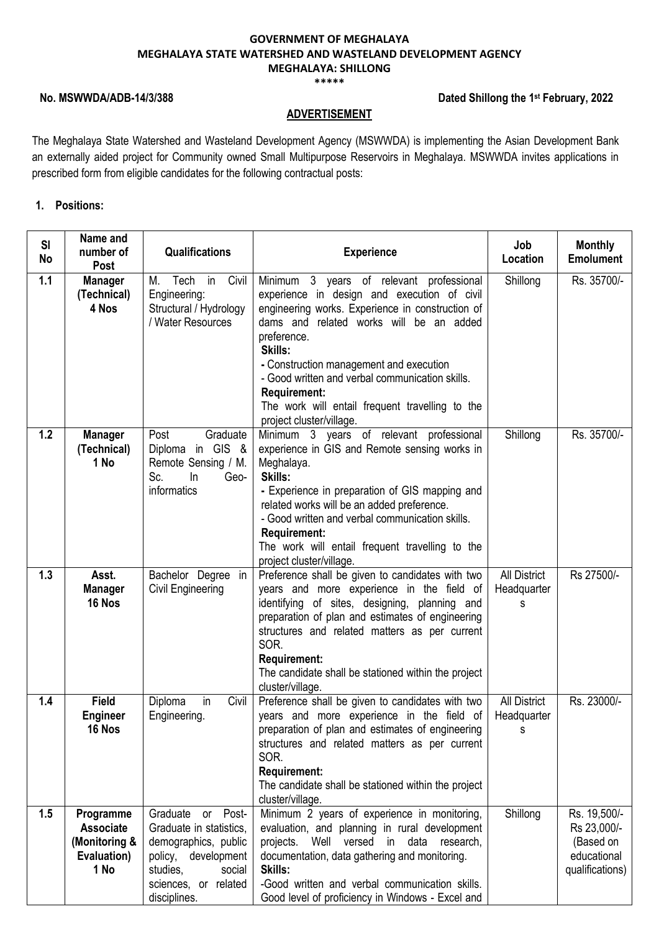**\*\*\*\*\***

# **No. MSWWDA/ADB-14/3/388**

# **Dated Shillong the 1st February, 2022**

### **ADVERTISEMENT**

The Meghalaya State Watershed and Wasteland Development Agency (MSWWDA) is implementing the Asian Development Bank an externally aided project for Community owned Small Multipurpose Reservoirs in Meghalaya. MSWWDA invites applications in prescribed form from eligible candidates for the following contractual posts:

# **1. Positions:**

| SI<br>No | Name and<br>number of                                                                                                                                                                                                                                                                                                                                                                                                                                                                                                   | <b>Qualifications</b>                                                                                                                                     | <b>Experience</b>                                                                                                                                                                                                                                                                                                                                                                                                    | Job<br>Location                         | <b>Monthly</b><br><b>Emolument</b>                                         |
|----------|-------------------------------------------------------------------------------------------------------------------------------------------------------------------------------------------------------------------------------------------------------------------------------------------------------------------------------------------------------------------------------------------------------------------------------------------------------------------------------------------------------------------------|-----------------------------------------------------------------------------------------------------------------------------------------------------------|----------------------------------------------------------------------------------------------------------------------------------------------------------------------------------------------------------------------------------------------------------------------------------------------------------------------------------------------------------------------------------------------------------------------|-----------------------------------------|----------------------------------------------------------------------------|
| 1.1      | Post<br><b>Manager</b><br>(Technical)<br>4 Nos                                                                                                                                                                                                                                                                                                                                                                                                                                                                          | M. Tech in<br>Civil<br>Engineering:<br>Structural / Hydrology<br>/ Water Resources                                                                        | Minimum 3 years of relevant professional<br>experience in design and execution of civil<br>engineering works. Experience in construction of<br>dams and related works will be an added<br>preference.<br>Skills:<br>- Construction management and execution<br>- Good written and verbal communication skills.<br><b>Requirement:</b><br>The work will entail frequent travelling to the<br>project cluster/village. | Shillong                                | Rs. 35700/-                                                                |
| 1.2      | Post<br>Graduate<br>Minimum 3 years of relevant professional<br><b>Manager</b><br>Diploma in GIS &<br>experience in GIS and Remote sensing works in<br>(Technical)<br>1 No<br>Remote Sensing / M.<br>Meghalaya.<br>Skills:<br>Sc.<br>Geo-<br>In<br>informatics<br>- Experience in preparation of GIS mapping and<br>related works will be an added preference.<br>- Good written and verbal communication skills.<br><b>Requirement:</b><br>The work will entail frequent travelling to the<br>project cluster/village. |                                                                                                                                                           | Shillong                                                                                                                                                                                                                                                                                                                                                                                                             | Rs. 35700/-                             |                                                                            |
| 1.3      | Asst.<br><b>Manager</b><br>16 Nos                                                                                                                                                                                                                                                                                                                                                                                                                                                                                       | Bachelor Degree in<br>Civil Engineering                                                                                                                   | Preference shall be given to candidates with two<br>years and more experience in the field of<br>identifying of sites, designing, planning and<br>preparation of plan and estimates of engineering<br>structures and related matters as per current<br>SOR.<br><b>Requirement:</b><br>The candidate shall be stationed within the project<br>cluster/village.                                                        | <b>All District</b><br>Headquarter<br>s | Rs 27500/-                                                                 |
| 1.4      | <b>Field</b><br>Diploma<br>in<br>Civil<br><b>Engineer</b><br>Engineering.<br>16 Nos                                                                                                                                                                                                                                                                                                                                                                                                                                     |                                                                                                                                                           | Preference shall be given to candidates with two<br>years and more experience in the field of<br>preparation of plan and estimates of engineering<br>structures and related matters as per current<br>SOR.<br><b>Requirement:</b><br>The candidate shall be stationed within the project<br>cluster/village.                                                                                                         | <b>All District</b><br>Headquarter<br>S | Rs. 23000/-                                                                |
| 1.5      | Programme<br><b>Associate</b><br>(Monitoring &<br>Evaluation)<br>1 No                                                                                                                                                                                                                                                                                                                                                                                                                                                   | Graduate or Post-<br>Graduate in statistics.<br>demographics, public<br>policy, development<br>studies,<br>social<br>sciences, or related<br>disciplines. | Minimum 2 years of experience in monitoring,<br>evaluation, and planning in rural development<br>projects.<br>Well<br>versed<br>in<br>data research,<br>documentation, data gathering and monitoring.<br>Skills:<br>-Good written and verbal communication skills.<br>Good level of proficiency in Windows - Excel and                                                                                               | Shillong                                | Rs. 19,500/-<br>Rs 23,000/-<br>(Based on<br>educational<br>qualifications) |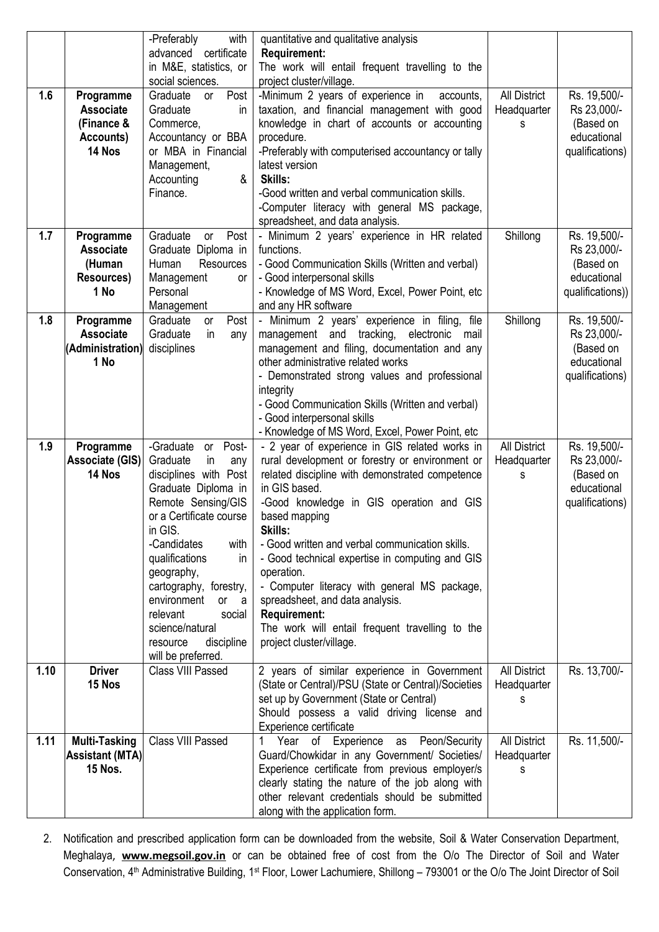|      |                        | with<br>-Preferably                            | quantitative and qualitative analysis                                           |                     |                  |
|------|------------------------|------------------------------------------------|---------------------------------------------------------------------------------|---------------------|------------------|
|      |                        | advanced certificate<br>in M&E, statistics, or | <b>Requirement:</b><br>The work will entail frequent travelling to the          |                     |                  |
|      |                        | social sciences.                               | project cluster/village.                                                        |                     |                  |
| 1.6  | Programme              | Post<br>Graduate<br>or                         | -Minimum 2 years of experience in<br>accounts,                                  | All District        | Rs. 19,500/-     |
|      | <b>Associate</b>       | Graduate<br>in                                 | taxation, and financial management with good                                    | Headquarter         | Rs 23,000/-      |
|      | (Finance &             | Commerce,                                      | knowledge in chart of accounts or accounting                                    | S                   | (Based on        |
|      | Accounts)              | Accountancy or BBA                             | procedure.                                                                      |                     | educational      |
|      | 14 Nos                 | or MBA in Financial                            | -Preferably with computerised accountancy or tally                              |                     | qualifications)  |
|      |                        | Management,<br>Accounting<br>&                 | latest version<br>Skills:                                                       |                     |                  |
|      |                        | Finance.                                       | -Good written and verbal communication skills.                                  |                     |                  |
|      |                        |                                                | -Computer literacy with general MS package,                                     |                     |                  |
|      |                        |                                                | spreadsheet, and data analysis.                                                 |                     |                  |
| 1.7  | Programme              | Post<br>Graduate<br>or                         | - Minimum 2 years' experience in HR related                                     | Shillong            | Rs. 19,500/-     |
|      | <b>Associate</b>       | Graduate Diploma in                            | functions.                                                                      |                     | Rs 23,000/-      |
|      | (Human                 | Human<br><b>Resources</b>                      | - Good Communication Skills (Written and verbal)                                |                     | (Based on        |
|      | Resources)<br>1 No     | Management<br>or                               | - Good interpersonal skills                                                     |                     | educational      |
|      |                        | Personal<br>Management                         | - Knowledge of MS Word, Excel, Power Point, etc<br>and any HR software          |                     | qualifications)) |
| 1.8  | Programme              | Post<br>Graduate<br>or                         | - Minimum 2 years' experience in filing, file                                   | Shillong            | Rs. 19,500/-     |
|      | <b>Associate</b>       | Graduate<br>in<br>any                          | management and tracking, electronic<br>mail                                     |                     | Rs 23,000/-      |
|      | (Administration)       | disciplines                                    | management and filing, documentation and any                                    |                     | (Based on        |
|      | 1 No                   |                                                | other administrative related works                                              |                     | educational      |
|      |                        |                                                | - Demonstrated strong values and professional                                   |                     | qualifications)  |
|      |                        |                                                | integrity                                                                       |                     |                  |
|      |                        |                                                | - Good Communication Skills (Written and verbal)<br>- Good interpersonal skills |                     |                  |
|      |                        |                                                | - Knowledge of MS Word, Excel, Power Point, etc                                 |                     |                  |
| 1.9  | Programme              | or Post-<br>-Graduate                          | - 2 year of experience in GIS related works in                                  | <b>All District</b> | Rs. 19,500/-     |
|      | <b>Associate (GIS)</b> | Graduate<br>in<br>any                          | rural development or forestry or environment or                                 | Headquarter         | Rs 23,000/-      |
|      | 14 Nos                 | disciplines with Post                          | related discipline with demonstrated competence                                 | s                   | (Based on        |
|      |                        | Graduate Diploma in                            | in GIS based.                                                                   |                     | educational      |
|      |                        | Remote Sensing/GIS                             | -Good knowledge in GIS operation and GIS                                        |                     | qualifications)  |
|      |                        | or a Certificate course<br>in GIS.             | based mapping<br>Skills:                                                        |                     |                  |
|      |                        | -Candidates<br>with                            | - Good written and verbal communication skills.                                 |                     |                  |
|      |                        | qualifications<br>in.                          | - Good technical expertise in computing and GIS                                 |                     |                  |
|      |                        | geography,                                     | operation.                                                                      |                     |                  |
|      |                        | cartography, forestry,                         | - Computer literacy with general MS package,                                    |                     |                  |
|      |                        | environment<br>or a                            | spreadsheet, and data analysis.                                                 |                     |                  |
|      |                        | relevant<br>social<br>science/natural          | <b>Requirement:</b><br>The work will entail frequent travelling to the          |                     |                  |
|      |                        | discipline<br>resource                         | project cluster/village.                                                        |                     |                  |
|      |                        | will be preferred.                             |                                                                                 |                     |                  |
| 1.10 | <b>Driver</b>          | Class VIII Passed                              | 2 years of similar experience in Government                                     | <b>All District</b> | Rs. 13,700/-     |
|      | 15 Nos                 |                                                | (State or Central)/PSU (State or Central)/Societies                             | Headquarter         |                  |
|      |                        |                                                | set up by Government (State or Central)                                         | s                   |                  |
|      |                        |                                                | Should possess a valid driving license and<br>Experience certificate            |                     |                  |
| 1.11 | <b>Multi-Tasking</b>   | Class VIII Passed                              | 1 Year of Experience as<br>Peon/Security                                        | <b>All District</b> | Rs. 11,500/-     |
|      | <b>Assistant (MTA)</b> |                                                | Guard/Chowkidar in any Government/ Societies/                                   | Headquarter         |                  |
|      | <b>15 Nos.</b>         |                                                | Experience certificate from previous employer/s                                 | s                   |                  |
|      |                        |                                                | clearly stating the nature of the job along with                                |                     |                  |
|      |                        |                                                | other relevant credentials should be submitted                                  |                     |                  |
|      |                        |                                                | along with the application form.                                                |                     |                  |

2. Notification and prescribed application form can be downloaded from the website, [Soil](http://www.mbda.gov.in/) & Water Conservation Department, Meghalaya, **www.megsoil.gov.in** or can be obtained free of cost from the O/o The Director of Soil and Water Conservation, 4th Administrative Building, 1st Floor, Lower Lachumiere, Shillong – 793001 or the O/o The Joint Director of Soil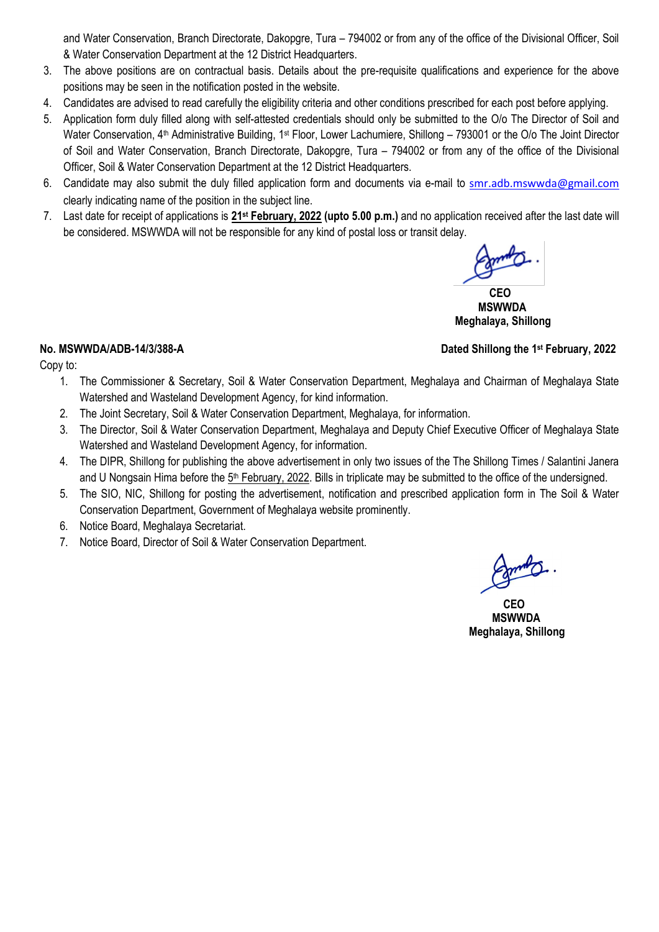and Water Conservation, Branch Directorate, Dakopgre, Tura – 794002 or from any of the office of the Divisional Officer, Soil & Water Conservation Department at the 12 District Headquarters.

- 3. The above positions are on contractual basis. Details about the pre-requisite qualifications and experience for the above positions may be seen in the notification posted in the website.
- 4. Candidates are advised to read carefully the eligibility criteria and other conditions prescribed for each post before applying.
- 5. Application form duly filled along with self-attested credentials should only be submitted to the O/o The Director of Soil and Water Conservation,  $4<sup>th</sup>$  Administrative Building, 1<sup>st</sup> Floor, Lower Lachumiere, Shillong – 793001 or the O/o The Joint Director of Soil and Water Conservation, Branch Directorate, Dakopgre, Tura – 794002 or from any of the office of the Divisional Officer, Soil & Water Conservation Department at the 12 District Headquarters.
- 6. Candidate may also submit the duly filled application form and documents via e-mail to [smr.adb.mswwda@gmail.com](mailto:smr.adb.mswwda@gmail.com) clearly indicating name of the position in the subject line.
- 7. Last date for receipt of applications is **21st February, 2022 (upto 5.00 p.m.)** and no application received after the last date will be considered. MSWWDA will not be responsible for any kind of postal loss or transit delay.

 **CEO MSWWDA Meghalaya, Shillong** 

# **No. MSWWDA/ADB-14/3/388-A**

Copy to:

- 1. The Commissioner & Secretary, Soil & Water Conservation Department, Meghalaya and Chairman of Meghalaya State Watershed and Wasteland Development Agency, for kind information.
- 2. The Joint Secretary, Soil & Water Conservation Department, Meghalaya, for information.
- 3. The Director, Soil & Water Conservation Department, Meghalaya and Deputy Chief Executive Officer of Meghalaya State Watershed and Wasteland Development Agency, for information.
- 4. The DIPR, Shillong for publishing the above advertisement in only two issues of the The Shillong Times / Salantini Janera and U Nongsain Hima before the 5<sup>th</sup> February, 2022. Bills in triplicate may be submitted to the office of the undersigned.
- 5. The SIO, NIC, Shillong for posting the advertisement, notification and prescribed application form in The Soil & Water Conservation Department, Government of Meghalaya website prominently.
- 6. Notice Board, Meghalaya Secretariat.
- 7. Notice Board, Director of Soil & Water Conservation Department.

 **CEO MSWWDA Meghalaya, Shillong** 

# **Dated Shillong the 1st February, 2022**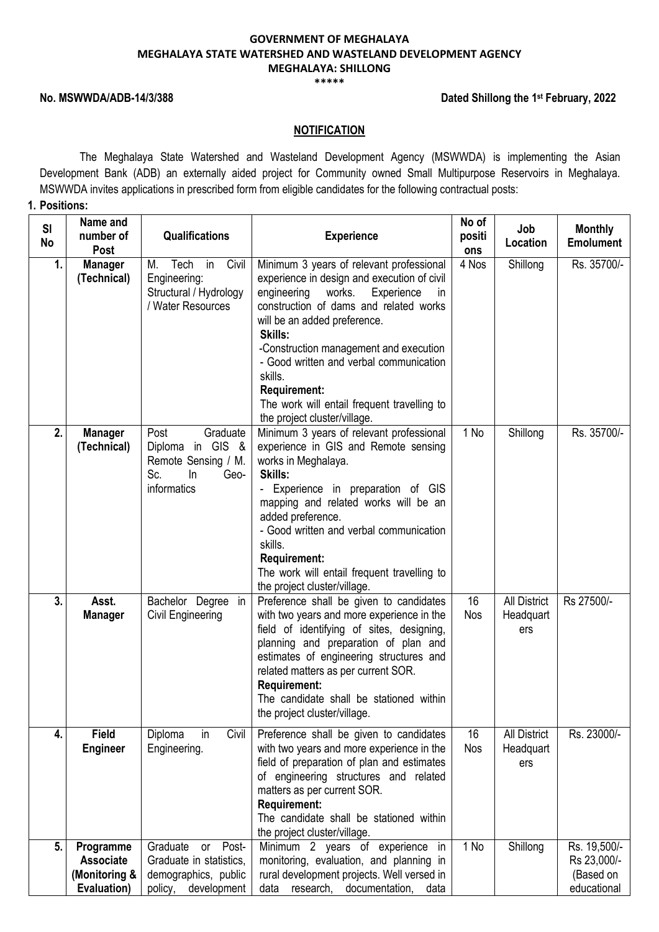#### **\*\*\*\*\***

## **No. MSWWDA/ADB-14/3/388**

### **Dated Shillong the 1st February, 2022**

# **NOTIFICATION**

The Meghalaya State Watershed and Wasteland Development Agency (MSWWDA) is implementing the Asian Development Bank (ADB) an externally aided project for Community owned Small Multipurpose Reservoirs in Meghalaya. MSWWDA invites applications in prescribed form from eligible candidates for the following contractual posts:

# **1. Positions:**

| SI<br><b>No</b> | Name and<br>number of<br><b>Post</b>                          | <b>Qualifications</b>                                                                                | <b>Experience</b>                                                                                                                                                                                                                                                                                                                                                                                                                      | No of<br>positi<br>ons | Job<br>Location                         | <b>Monthly</b><br><b>Emolument</b>                      |
|-----------------|---------------------------------------------------------------|------------------------------------------------------------------------------------------------------|----------------------------------------------------------------------------------------------------------------------------------------------------------------------------------------------------------------------------------------------------------------------------------------------------------------------------------------------------------------------------------------------------------------------------------------|------------------------|-----------------------------------------|---------------------------------------------------------|
| 1.              | <b>Manager</b><br>(Technical)                                 | in<br>Civil<br>Tech<br>M.<br>Engineering:<br>Structural / Hydrology<br>/ Water Resources             | Minimum 3 years of relevant professional<br>experience in design and execution of civil<br>engineering<br>works.<br>Experience<br><i>in</i><br>construction of dams and related works<br>will be an added preference.<br>Skills:<br>-Construction management and execution<br>- Good written and verbal communication<br>skills.<br><b>Requirement:</b><br>The work will entail frequent travelling to<br>the project cluster/village. | 4 Nos                  | Shillong                                | Rs. 35700/-                                             |
| 2.              | <b>Manager</b><br>(Technical)                                 | Graduate<br>Post<br>Diploma in GIS &<br>Remote Sensing / M.<br>Sc.<br>In<br>Geo-<br>informatics      | Minimum 3 years of relevant professional<br>experience in GIS and Remote sensing<br>works in Meghalaya.<br>Skills:<br>- Experience in preparation of GIS<br>mapping and related works will be an<br>added preference.<br>- Good written and verbal communication<br>skills.<br><b>Requirement:</b><br>The work will entail frequent travelling to<br>the project cluster/village.                                                      | 1 No                   | Shillong                                | Rs. 35700/-                                             |
| 3.              | Asst.<br><b>Manager</b>                                       | Bachelor Degree in<br>Civil Engineering                                                              | Preference shall be given to candidates<br>with two years and more experience in the<br>field of identifying of sites, designing,<br>planning and preparation of plan and<br>estimates of engineering structures and<br>related matters as per current SOR.<br><b>Requirement:</b><br>The candidate shall be stationed within<br>the project cluster/village.                                                                          | 16<br>Nos              | <b>All District</b><br>Headquart<br>ers | Rs 27500/-                                              |
| 4.              | <b>Field</b><br><b>Engineer</b>                               | in<br>Civil<br>Diploma<br>Engineering.                                                               | Preference shall be given to candidates<br>with two years and more experience in the<br>field of preparation of plan and estimates<br>of engineering structures and related<br>matters as per current SOR.<br><b>Requirement:</b><br>The candidate shall be stationed within<br>the project cluster/village.                                                                                                                           | 16<br>Nos              | <b>All District</b><br>Headquart<br>ers | Rs. 23000/-                                             |
| 5.              | Programme<br><b>Associate</b><br>(Monitoring &<br>Evaluation) | Post-<br>Graduate<br>or<br>Graduate in statistics,<br>demographics, public<br>development<br>policy, | Minimum 2 years of experience<br>in<br>monitoring, evaluation, and planning in<br>rural development projects. Well versed in<br>research,<br>documentation,<br>data<br>data                                                                                                                                                                                                                                                            | 1 No                   | Shillong                                | Rs. 19,500/-<br>Rs 23,000/-<br>(Based on<br>educational |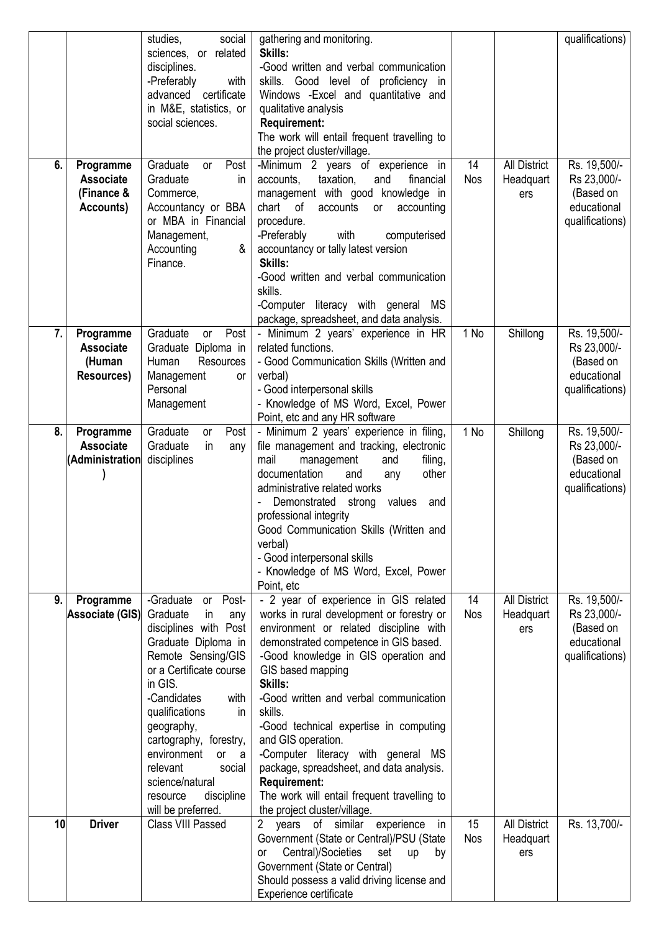| 6. | Programme<br><b>Associate</b>                         | studies,<br>social<br>sciences, or related<br>disciplines.<br>-Preferably<br>with<br>advanced certificate<br>in M&E, statistics, or<br>social sciences.<br>Graduate<br>Post<br>or<br>Graduate<br><i>in</i>                                                                                                                                                        | gathering and monitoring.<br>Skills:<br>-Good written and verbal communication<br>skills. Good level of proficiency in<br>Windows - Excel and quantitative and<br>qualitative analysis<br><b>Requirement:</b><br>The work will entail frequent travelling to<br>the project cluster/village.<br>-Minimum 2 years of experience in<br>taxation,<br>accounts,<br>financial<br>and                                                                                                                                                                            | 14<br><b>Nos</b> | <b>All District</b><br>Headquart        | qualifications)<br>Rs. 19,500/-<br>Rs 23,000/-                             |
|----|-------------------------------------------------------|-------------------------------------------------------------------------------------------------------------------------------------------------------------------------------------------------------------------------------------------------------------------------------------------------------------------------------------------------------------------|------------------------------------------------------------------------------------------------------------------------------------------------------------------------------------------------------------------------------------------------------------------------------------------------------------------------------------------------------------------------------------------------------------------------------------------------------------------------------------------------------------------------------------------------------------|------------------|-----------------------------------------|----------------------------------------------------------------------------|
|    | (Finance &<br>Accounts)                               | Commerce,<br>Accountancy or BBA<br>or MBA in Financial<br>Management,<br>&<br>Accounting<br>Finance.                                                                                                                                                                                                                                                              | management with good knowledge in<br>chart of<br>accounts<br>accounting<br>or<br>procedure.<br>with<br>-Preferably<br>computerised<br>accountancy or tally latest version<br>Skills:<br>-Good written and verbal communication<br>skills.<br>-Computer literacy with general MS<br>package, spreadsheet, and data analysis.                                                                                                                                                                                                                                |                  | ers                                     | (Based on<br>educational<br>qualifications)                                |
| 7. | Programme<br><b>Associate</b><br>(Human<br>Resources) | Post<br>Graduate<br>or<br>Graduate Diploma in<br>Human<br>Resources<br>Management<br><b>or</b><br>Personal<br>Management                                                                                                                                                                                                                                          | - Minimum 2 years' experience in HR<br>related functions.<br>- Good Communication Skills (Written and<br>verbal)<br>- Good interpersonal skills<br>- Knowledge of MS Word, Excel, Power<br>Point, etc and any HR software                                                                                                                                                                                                                                                                                                                                  | 1 No             | Shillong                                | Rs. 19,500/-<br>Rs 23,000/-<br>(Based on<br>educational<br>qualifications) |
| 8. | Programme<br><b>Associate</b><br>(Administration      | Graduate<br>Post<br>or<br>Graduate<br>in<br>any<br>disciplines                                                                                                                                                                                                                                                                                                    | - Minimum 2 years' experience in filing,<br>file management and tracking, electronic<br>mail<br>management<br>filing,<br>and<br>documentation<br>other<br>and<br>any<br>administrative related works<br>Demonstrated strong<br>values<br>and<br>professional integrity<br>Good Communication Skills (Written and<br>verbal)<br>- Good interpersonal skills<br>- Knowledge of MS Word, Excel, Power<br>Point, etc                                                                                                                                           | 1 No             | Shillong                                | Rs. 19,500/-<br>Rs 23,000/-<br>(Based on<br>educational<br>qualifications) |
| 9. | Programme<br><b>Associate (GIS)</b>                   | or Post-<br>-Graduate<br>Graduate<br>in<br>any<br>disciplines with Post<br>Graduate Diploma in<br>Remote Sensing/GIS<br>or a Certificate course<br>in GIS.<br>-Candidates<br>with<br>qualifications<br>in<br>geography,<br>cartography, forestry,<br>environment<br>or a<br>relevant<br>social<br>science/natural<br>discipline<br>resource<br>will be preferred. | - 2 year of experience in GIS related<br>works in rural development or forestry or<br>environment or related discipline with<br>demonstrated competence in GIS based.<br>-Good knowledge in GIS operation and<br>GIS based mapping<br>Skills:<br>-Good written and verbal communication<br>skills.<br>-Good technical expertise in computing<br>and GIS operation.<br>-Computer literacy with general MS<br>package, spreadsheet, and data analysis.<br><b>Requirement:</b><br>The work will entail frequent travelling to<br>the project cluster/village. | 14<br>Nos        | <b>All District</b><br>Headquart<br>ers | Rs. 19,500/-<br>Rs 23,000/-<br>(Based on<br>educational<br>qualifications) |
| 10 | <b>Driver</b>                                         | Class VIII Passed                                                                                                                                                                                                                                                                                                                                                 | 2<br>years of similar experience<br>in<br>Government (State or Central)/PSU (State<br>Central)/Societies<br>set<br>up<br>or<br>by<br>Government (State or Central)<br>Should possess a valid driving license and<br>Experience certificate                                                                                                                                                                                                                                                                                                                 | 15<br>Nos        | All District<br>Headquart<br>ers        | Rs. 13,700/-                                                               |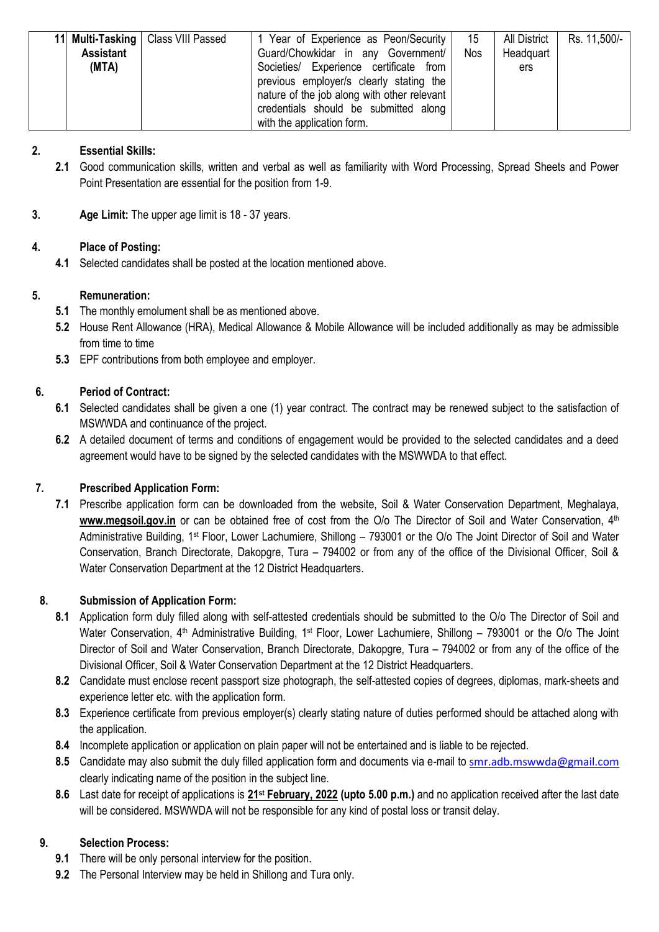|                  | 11 Multi-Tasking   Class VIII Passed | 1 Year of Experience as Peon/Security       | 15         | All District | Rs. 11,500/- |
|------------------|--------------------------------------|---------------------------------------------|------------|--------------|--------------|
| <b>Assistant</b> |                                      | Guard/Chowkidar in any Government/          | <b>Nos</b> | Headquart    |              |
| (MTA)            |                                      | Societies/ Experience certificate from      |            | <b>ers</b>   |              |
|                  |                                      | previous employer/s clearly stating the     |            |              |              |
|                  |                                      | nature of the job along with other relevant |            |              |              |
|                  |                                      | credentials should be submitted along       |            |              |              |
|                  |                                      | with the application form.                  |            |              |              |

# **2. Essential Skills:**

- **2.1** Good communication skills, written and verbal as well as familiarity with Word Processing, Spread Sheets and Power Point Presentation are essential for the position from 1-9.
- **3. Age Limit:** The upper age limit is 18 37 years.

# **4. Place of Posting:**

**4.1** Selected candidates shall be posted at the location mentioned above.

# **5. Remuneration:**

- **5.1** The monthly emolument shall be as mentioned above.
- **5.2** House Rent Allowance (HRA), Medical Allowance & Mobile Allowance will be included additionally as may be admissible from time to time
- **5.3** EPF contributions from both employee and employer.

# **6. Period of Contract:**

- **6.1** Selected candidates shall be given a one (1) year contract. The contract may be renewed subject to the satisfaction of MSWWDA and continuance of the project.
- **6.2** A detailed document of terms and conditions of engagement would be provided to the selected candidates and a deed agreement would have to be signed by the selected candidates with the MSWWDA to that effect.

## **7. Prescribed Application Form:**

**7.1** Prescribe application form can be downloaded from the website, [Soil](http://www.mbda.gov.in/) & Water Conservation Department, Meghalaya, www.megsoil.gov.in or can be obtained free of cost from the O/o The Director of Soil and Water Conservation, 4<sup>th</sup> Administrative Building, 1st Floor, Lower Lachumiere, Shillong – 793001 or the O/o The Joint Director of Soil and Water Conservation, Branch Directorate, Dakopgre, Tura – 794002 or from any of the office of the Divisional Officer, Soil & Water Conservation Department at the 12 District Headquarters.

# **8. Submission of Application Form:**

- **8.1** Application form duly filled along with self-attested credentials should be submitted to the O/o The Director of Soil and Water Conservation, 4<sup>th</sup> Administrative Building, 1<sup>st</sup> Floor, Lower Lachumiere, Shillong – 793001 or the O/o The Joint Director of Soil and Water Conservation, Branch Directorate, Dakopgre, Tura – 794002 or from any of the office of the Divisional Officer, Soil & Water Conservation Department at the 12 District Headquarters.
- **8.2** Candidate must enclose recent passport size photograph, the self-attested copies of degrees, diplomas, mark-sheets and experience letter etc. with the application form.
- **8.3** Experience certificate from previous employer(s) clearly stating nature of duties performed should be attached along with the application.
- **8.4** Incomplete application or application on plain paper will not be entertained and is liable to be rejected.
- **8.5** Candidate may also submit the duly filled application form and documents via e-mail to [smr.adb.mswwda@gmail.com](mailto:smr.adb.mswwda@gmail.com) clearly indicating name of the position in the subject line.
- **8.6** Last date for receipt of applications is **21st February, 2022 (upto 5.00 p.m.)** and no application received after the last date will be considered. MSWWDA will not be responsible for any kind of postal loss or transit delay.

# **9. Selection Process:**

- **9.1** There will be only personal interview for the position.
- **9.2** The Personal Interview may be held in Shillong and Tura only.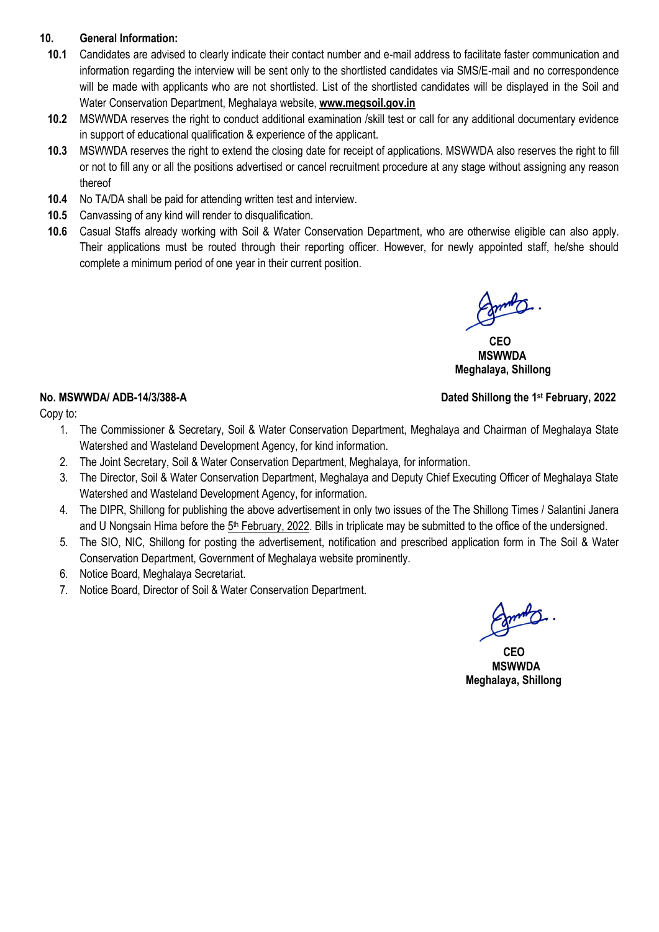# **10. General Information:**

- **10.1** Candidates are advised to clearly indicate their contact number and e-mail address to facilitate faster communication and information regarding the interview will be sent only to the shortlisted candidates via SMS/E-mail and no correspondence will be made with applicants who are not shortlisted. List of the shortlisted candidates will be displayed in the Soil and Water Conservation Department, Meghalaya website, **www.megsoil.gov.in**
- **10.2** MSWWDA reserves the right to conduct additional examination /skill test or call for any additional documentary evidence in support of educational qualification & experience of the applicant.
- **10.3** MSWWDA reserves the right to extend the closing date for receipt of applications. MSWWDA also reserves the right to fill or not to fill any or all the positions advertised or cancel recruitment procedure at any stage without assigning any reason thereof
- **10.4** No TA/DA shall be paid for attending written test and interview.
- **10.5** Canvassing of any kind will render to disqualification.
- **10.6** Casual Staffs already working with Soil & Water Conservation Department, who are otherwise eligible can also apply. Their applications must be routed through their reporting officer. However, for newly appointed staff, he/she should complete a minimum period of one year in their current position.

 *CEO* **CEO MSWWDA Meghalaya, Shillong** 

**Dated Shillong the 1st February, 2022** 

# **No. MSWWDA/ ADB-14/3/388-A**

Copy to:

- 1. The Commissioner & Secretary, Soil & Water Conservation Department, Meghalaya and Chairman of Meghalaya State Watershed and Wasteland Development Agency, for kind information.
- 2. The Joint Secretary, Soil & Water Conservation Department, Meghalaya, for information.
- 3. The Director, Soil & Water Conservation Department, Meghalaya and Deputy Chief Executing Officer of Meghalaya State Watershed and Wasteland Development Agency, for information.
- 4. The DIPR, Shillong for publishing the above advertisement in only two issues of the The Shillong Times / Salantini Janera and U Nongsain Hima before the 5<sup>th</sup> February, 2022. Bills in triplicate may be submitted to the office of the undersigned.
- 5. The SIO, NIC, Shillong for posting the advertisement, notification and prescribed application form in The Soil & Water Conservation Department, Government of Meghalaya website prominently.
- 6. Notice Board, Meghalaya Secretariat.
- 7. Notice Board, Director of Soil & Water Conservation Department.

 **CEO MSWWDA Meghalaya, Shillong**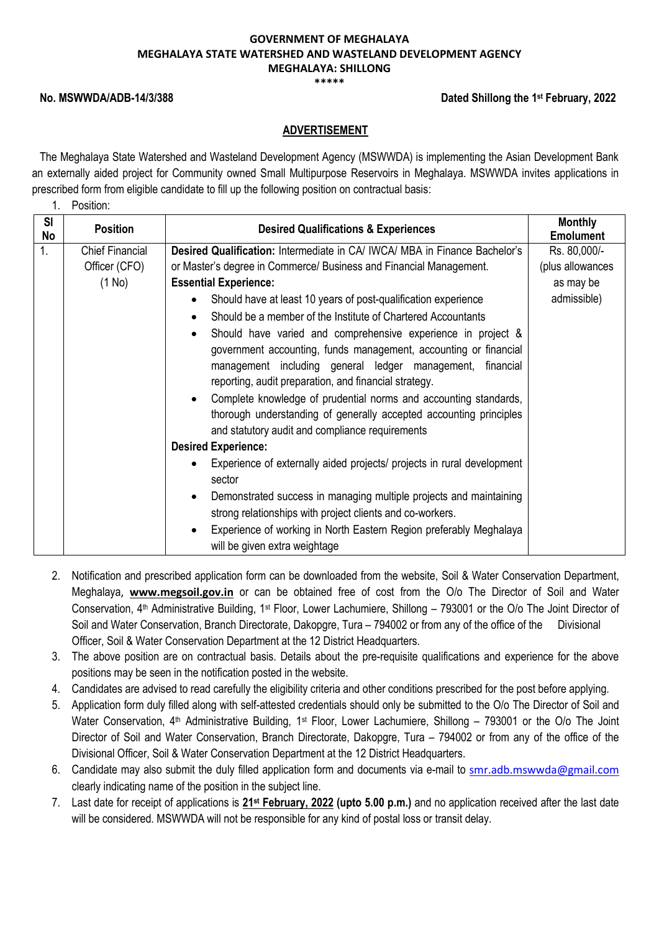#### **\*\*\*\*\***

### **No. MSWWDA/ADB-14/3/388**

### **Dated Shillong the 1st February, 2022**

## **ADVERTISEMENT**

The Meghalaya State Watershed and Wasteland Development Agency (MSWWDA) is implementing the Asian Development Bank an externally aided project for Community owned Small Multipurpose Reservoirs in Meghalaya. MSWWDA invites applications in prescribed form from eligible candidate to fill up the following position on contractual basis:

1. Position:

| SI<br>No | <b>Position</b>        | <b>Desired Qualifications &amp; Experiences</b>                                                                                                                                                                                                                                                                                                                                                                                                                                                                                                                                                              | <b>Monthly</b><br><b>Emolument</b> |
|----------|------------------------|--------------------------------------------------------------------------------------------------------------------------------------------------------------------------------------------------------------------------------------------------------------------------------------------------------------------------------------------------------------------------------------------------------------------------------------------------------------------------------------------------------------------------------------------------------------------------------------------------------------|------------------------------------|
| 1.       | <b>Chief Financial</b> | <b>Desired Qualification: Intermediate in CA/ IWCA/ MBA in Finance Bachelor's</b>                                                                                                                                                                                                                                                                                                                                                                                                                                                                                                                            | Rs. 80,000/-                       |
|          | Officer (CFO)          | or Master's degree in Commerce/ Business and Financial Management.                                                                                                                                                                                                                                                                                                                                                                                                                                                                                                                                           | (plus allowances                   |
|          | (1 No)                 | <b>Essential Experience:</b>                                                                                                                                                                                                                                                                                                                                                                                                                                                                                                                                                                                 | as may be                          |
|          |                        | Should have at least 10 years of post-qualification experience<br>$\bullet$                                                                                                                                                                                                                                                                                                                                                                                                                                                                                                                                  | admissible)                        |
|          |                        | Should be a member of the Institute of Chartered Accountants<br>$\bullet$                                                                                                                                                                                                                                                                                                                                                                                                                                                                                                                                    |                                    |
|          |                        | Should have varied and comprehensive experience in project &<br>$\bullet$<br>government accounting, funds management, accounting or financial<br>management including general ledger management, financial<br>reporting, audit preparation, and financial strategy.<br>Complete knowledge of prudential norms and accounting standards,<br>$\bullet$<br>thorough understanding of generally accepted accounting principles<br>and statutory audit and compliance requirements<br><b>Desired Experience:</b><br>Experience of externally aided projects/ projects in rural development<br>$\bullet$<br>sector |                                    |
|          |                        | Demonstrated success in managing multiple projects and maintaining<br>$\bullet$                                                                                                                                                                                                                                                                                                                                                                                                                                                                                                                              |                                    |
|          |                        | strong relationships with project clients and co-workers.                                                                                                                                                                                                                                                                                                                                                                                                                                                                                                                                                    |                                    |
|          |                        | Experience of working in North Eastern Region preferably Meghalaya<br>$\bullet$<br>will be given extra weightage                                                                                                                                                                                                                                                                                                                                                                                                                                                                                             |                                    |

- 2. Notification and prescribed application form can be downloaded from the website, [Soil](http://www.mbda.gov.in/) & Water Conservation Department, Meghalaya, **www.megsoil.gov.in** or can be obtained free of cost from the O/o The Director of Soil and Water Conservation, 4<sup>th</sup> Administrative Building, 1<sup>st</sup> Floor, Lower Lachumiere, Shillong – 793001 or the O/o The Joint Director of Soil and Water Conservation, Branch Directorate, Dakopgre, Tura – 794002 or from any of the office of the Divisional Officer, Soil & Water Conservation Department at the 12 District Headquarters.
- 3. The above position are on contractual basis. Details about the pre-requisite qualifications and experience for the above positions may be seen in the notification posted in the website.
- 4. Candidates are advised to read carefully the eligibility criteria and other conditions prescribed for the post before applying.
- 5. Application form duly filled along with self-attested credentials should only be submitted to the O/o The Director of Soil and Water Conservation, 4<sup>th</sup> Administrative Building, 1<sup>st</sup> Floor, Lower Lachumiere, Shillong – 793001 or the O/o The Joint Director of Soil and Water Conservation, Branch Directorate, Dakopgre, Tura – 794002 or from any of the office of the Divisional Officer, Soil & Water Conservation Department at the 12 District Headquarters.
- 6. Candidate may also submit the duly filled application form and documents via e-mail to [smr.adb.mswwda@gmail.com](mailto:smr.adb.mswwda@gmail.com) clearly indicating name of the position in the subject line.
- 7. Last date for receipt of applications is **21st February, 2022 (upto 5.00 p.m.)** and no application received after the last date will be considered. MSWWDA will not be responsible for any kind of postal loss or transit delay.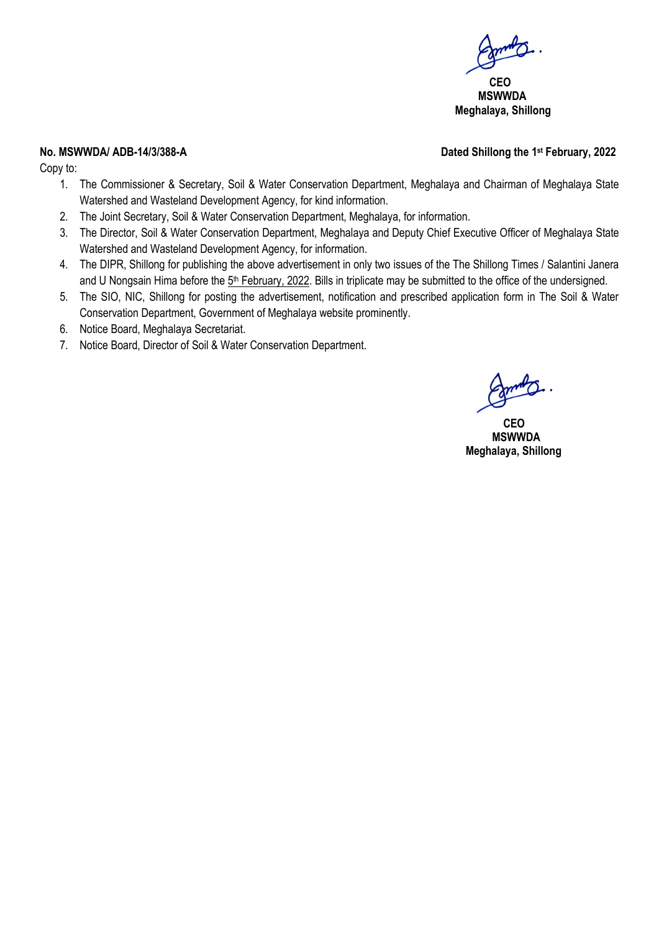**CEO MSWWDA Meghalaya, Shillong** 

### **No. MSWWDA/ ADB-14/3/388-A**

Copy to:

- 1. The Commissioner & Secretary, Soil & Water Conservation Department, Meghalaya and Chairman of Meghalaya State Watershed and Wasteland Development Agency, for kind information.
- 2. The Joint Secretary, Soil & Water Conservation Department, Meghalaya, for information.
- 3. The Director, Soil & Water Conservation Department, Meghalaya and Deputy Chief Executive Officer of Meghalaya State Watershed and Wasteland Development Agency, for information.
- 4. The DIPR, Shillong for publishing the above advertisement in only two issues of the The Shillong Times / Salantini Janera and U Nongsain Hima before the 5<sup>th</sup> February, 2022. Bills in triplicate may be submitted to the office of the undersigned.
- 5. The SIO, NIC, Shillong for posting the advertisement, notification and prescribed application form in The Soil & Water Conservation Department, Government of Meghalaya website prominently.
- 6. Notice Board, Meghalaya Secretariat.
- 7. Notice Board, Director of Soil & Water Conservation Department.

 **CEO MSWWDA Meghalaya, Shillong** 

# **Dated Shillong the 1st February, 2022**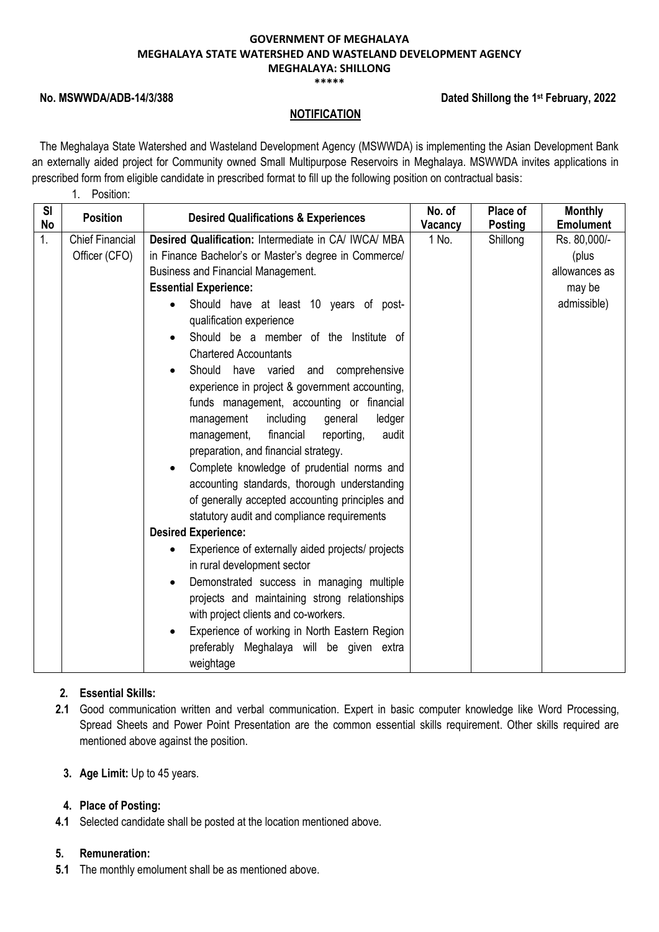#### **\*\*\*\*\***

### **No. MSWWDA/ADB-14/3/388**

1. Position:

### **Dated Shillong the 1st February, 2022**

### **NOTIFICATION**

The Meghalaya State Watershed and Wasteland Development Agency (MSWWDA) is implementing the Asian Development Bank an externally aided project for Community owned Small Multipurpose Reservoirs in Meghalaya. MSWWDA invites applications in prescribed form from eligible candidate in prescribed format to fill up the following position on contractual basis:

| <b>SI</b><br><b>No</b> | <b>Position</b>        | <b>Desired Qualifications &amp; Experiences</b>                                                                                                                                                                                                                                                                                                                                                                                                                    | No. of<br>Vacancy | Place of<br><b>Posting</b> | <b>Monthly</b><br><b>Emolument</b> |
|------------------------|------------------------|--------------------------------------------------------------------------------------------------------------------------------------------------------------------------------------------------------------------------------------------------------------------------------------------------------------------------------------------------------------------------------------------------------------------------------------------------------------------|-------------------|----------------------------|------------------------------------|
| 1.                     | <b>Chief Financial</b> | Desired Qualification: Intermediate in CA/ IWCA/ MBA                                                                                                                                                                                                                                                                                                                                                                                                               | 1 No.             | Shillong                   | Rs. 80,000/-                       |
|                        | Officer (CFO)          | in Finance Bachelor's or Master's degree in Commerce/                                                                                                                                                                                                                                                                                                                                                                                                              |                   |                            | (plus                              |
|                        |                        | <b>Business and Financial Management.</b>                                                                                                                                                                                                                                                                                                                                                                                                                          |                   |                            | allowances as                      |
|                        |                        | <b>Essential Experience:</b>                                                                                                                                                                                                                                                                                                                                                                                                                                       |                   |                            | may be                             |
|                        |                        | Should have at least 10 years of post-<br>qualification experience                                                                                                                                                                                                                                                                                                                                                                                                 |                   |                            | admissible)                        |
|                        |                        | Should be a member of the Institute of                                                                                                                                                                                                                                                                                                                                                                                                                             |                   |                            |                                    |
|                        |                        | <b>Chartered Accountants</b><br>Should have varied<br>and comprehensive<br>experience in project & government accounting,<br>funds management, accounting or financial<br>management<br>including<br>general<br>ledger<br>financial<br>management,<br>reporting,<br>audit<br>preparation, and financial strategy.<br>Complete knowledge of prudential norms and<br>accounting standards, thorough understanding<br>of generally accepted accounting principles and |                   |                            |                                    |
|                        |                        | statutory audit and compliance requirements<br><b>Desired Experience:</b>                                                                                                                                                                                                                                                                                                                                                                                          |                   |                            |                                    |
|                        |                        | Experience of externally aided projects/ projects                                                                                                                                                                                                                                                                                                                                                                                                                  |                   |                            |                                    |
|                        |                        | in rural development sector                                                                                                                                                                                                                                                                                                                                                                                                                                        |                   |                            |                                    |
|                        |                        | Demonstrated success in managing multiple                                                                                                                                                                                                                                                                                                                                                                                                                          |                   |                            |                                    |
|                        |                        | projects and maintaining strong relationships                                                                                                                                                                                                                                                                                                                                                                                                                      |                   |                            |                                    |
|                        |                        | with project clients and co-workers.                                                                                                                                                                                                                                                                                                                                                                                                                               |                   |                            |                                    |
|                        |                        | Experience of working in North Eastern Region                                                                                                                                                                                                                                                                                                                                                                                                                      |                   |                            |                                    |
|                        |                        | preferably Meghalaya will be given extra                                                                                                                                                                                                                                                                                                                                                                                                                           |                   |                            |                                    |
|                        |                        | weightage                                                                                                                                                                                                                                                                                                                                                                                                                                                          |                   |                            |                                    |

### **2. Essential Skills:**

- **2.1** Good communication written and verbal communication. Expert in basic computer knowledge like Word Processing, Spread Sheets and Power Point Presentation are the common essential skills requirement. Other skills required are mentioned above against the position.
	- **3. Age Limit:** Up to 45 years.

### **4. Place of Posting:**

**4.1** Selected candidate shall be posted at the location mentioned above.

### **5. Remuneration:**

**5.1** The monthly emolument shall be as mentioned above.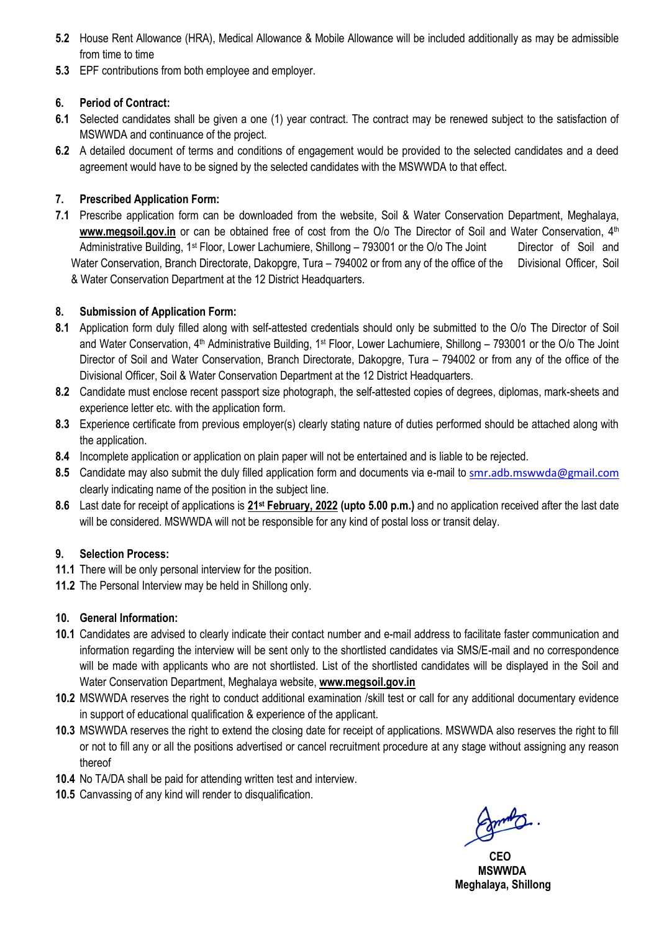- **5.2** House Rent Allowance (HRA), Medical Allowance & Mobile Allowance will be included additionally as may be admissible from time to time
- **5.3** EPF contributions from both employee and employer.

# **6. Period of Contract:**

- **6.1** Selected candidates shall be given a one (1) year contract. The contract may be renewed subject to the satisfaction of MSWWDA and continuance of the project.
- **6.2** A detailed document of terms and conditions of engagement would be provided to the selected candidates and a deed agreement would have to be signed by the selected candidates with the MSWWDA to that effect.

# **7. Prescribed Application Form:**

**7.1** Prescribe application form can be downloaded from the website, [Soil](http://www.mbda.gov.in/) & Water Conservation Department, Meghalaya, **www.megsoil.gov.in** or can be obtained free of cost from the O/o The Director of Soil and Water Conservation, 4<sup>th</sup> Administrative Building, 1<sup>st</sup> Floor, Lower Lachumiere, Shillong – 793001 or the O/o The Joint Director of Soil and Water Conservation, Branch Directorate, Dakopgre, Tura – 794002 or from any of the office of the Divisional Officer, Soil & Water Conservation Department at the 12 District Headquarters.

# **8. Submission of Application Form:**

- **8.1** Application form duly filled along with self-attested credentials should only be submitted to the O/o The Director of Soil and Water Conservation, 4<sup>th</sup> Administrative Building, 1<sup>st</sup> Floor, Lower Lachumiere, Shillong – 793001 or the O/o The Joint Director of Soil and Water Conservation, Branch Directorate, Dakopgre, Tura – 794002 or from any of the office of the Divisional Officer, Soil & Water Conservation Department at the 12 District Headquarters.
- **8.2** Candidate must enclose recent passport size photograph, the self-attested copies of degrees, diplomas, mark-sheets and experience letter etc. with the application form.
- **8.3** Experience certificate from previous employer(s) clearly stating nature of duties performed should be attached along with the application.
- **8.4** Incomplete application or application on plain paper will not be entertained and is liable to be rejected.
- 8.5 Candidate may also submit the duly filled application form and documents via e-mail to [smr.adb.mswwda@gmail.com](mailto:smr.adb.mswwda@gmail.com) clearly indicating name of the position in the subject line.
- **8.6** Last date for receipt of applications is **21st February, 2022 (upto 5.00 p.m.)** and no application received after the last date will be considered. MSWWDA will not be responsible for any kind of postal loss or transit delay.

## **9. Selection Process:**

- **11.1** There will be only personal interview for the position.
- **11.2** The Personal Interview may be held in Shillong only.

# **10. General Information:**

- **10.1** Candidates are advised to clearly indicate their contact number and e-mail address to facilitate faster communication and information regarding the interview will be sent only to the shortlisted candidates via SMS/E-mail and no correspondence will be made with applicants who are not shortlisted. List of the shortlisted candidates will be displayed in the Soil and Water Conservation Department, Meghalaya website, **www.megsoil.gov.in**
- **10.2** MSWWDA reserves the right to conduct additional examination /skill test or call for any additional documentary evidence in support of educational qualification & experience of the applicant.
- **10.3** MSWWDA reserves the right to extend the closing date for receipt of applications. MSWWDA also reserves the right to fill or not to fill any or all the positions advertised or cancel recruitment procedure at any stage without assigning any reason thereof
- **10.4** No TA/DA shall be paid for attending written test and interview.
- **10.5** Canvassing of any kind will render to disqualification.

 *CEO*  **MSWWDA Meghalaya, Shillong**